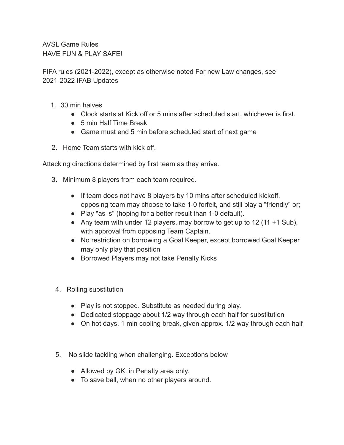AVSL Game Rules HAVE FUN & PLAY SAFFL

FIFA rules (2021-2022), except as otherwise noted For new Law changes, see 2021-2022 IFAB Updates

- 1. 30 min halves
	- Clock starts at Kick off or 5 mins after scheduled start, whichever is first.
	- 5 min Half Time Break
	- Game must end 5 min before scheduled start of next game
- 2. Home Team starts with kick off.

Attacking directions determined by first team as they arrive.

- 3. Minimum 8 players from each team required.
	- If team does not have 8 players by 10 mins after scheduled kickoff, opposing team may choose to take 1-0 forfeit, and still play a "friendly" or;
	- Play "as is" (hoping for a better result than 1-0 default).
	- Any team with under 12 players, may borrow to get up to 12 (11  $+1$  Sub), with approval from opposing Team Captain.
	- No restriction on borrowing a Goal Keeper, except borrowed Goal Keeper may only play that position
	- Borrowed Players may not take Penalty Kicks
- 4. Rolling substitution
	- Play is not stopped. Substitute as needed during play.
	- Dedicated stoppage about 1/2 way through each half for substitution
	- On hot days, 1 min cooling break, given approx. 1/2 way through each half
- 5. No slide tackling when challenging. Exceptions below
	- Allowed by GK, in Penalty area only.
	- To save ball, when no other players around.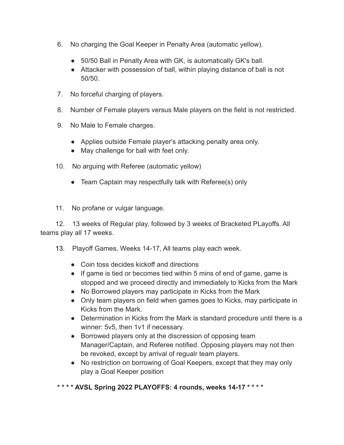- 6. No charging the Goal Keeper in Penalty Area (automatic yellow).
	- 50/50 Ball in Penalty Area with GK, is automatically GK's ball.
	- Attacker with possession of ball, within playing distance of ball is not 50/50.
- 7. No forceful charging of players.
- 8. Number of Female players versus Male players on the field is not restricted.
- 9. No Male to Female charges.
	- Applies outside Female player's attacking penalty area only.
	- May challenge for ball with feet only.
- 10. No arguing with Referee (automatic yellow)
	- Team Captain may respectfully talk with Referee(s) only
- 11. No profane or vulgar language.

12. 13 weeks of Regular play, followed by 3 weeks of Bracketed PLayoffs. All teams play all 17 weeks.

- 13. Playoff Games, Weeks 14-17, All teams play each week.
	- Coin toss decides kickoff and directions
	- If game is tied or becomes tied within 5 mins of end of game, game is stopped and we proceed directly and immediately to Kicks from the Mark
	- No Borrowed players may participate in Kicks from the Mark
	- Only team players on field when games goes to Kicks, may participate in Kicks from the Mark.
	- Determination in Kicks from the Mark is standard procedure until there is a winner: 5v5, then 1v1 if necessary.
	- Borrowed players only at the discression of opposing team Manager/Captain, and Referee notified. Opposing players may not then be revoked, except by arrival of regualr team players.
	- No restriction on borrowing of Goal Keepers, except that they may only play a Goal Keeper position

**\* \* \* \* AVSL Spring 2022 PLAYOFFS: 4 rounds, weeks 14-17 \* \* \* \***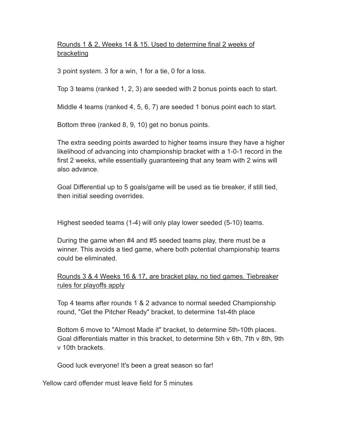## Rounds 1 & 2, Weeks 14 & 15. Used to determine final 2 weeks of bracketing

3 point system. 3 for a win, 1 for a tie, 0 for a loss.

Top 3 teams (ranked 1, 2, 3) are seeded with 2 bonus points each to start.

Middle 4 teams (ranked 4, 5, 6, 7) are seeded 1 bonus point each to start.

Bottom three (ranked 8, 9, 10) get no bonus points.

The extra seeding points awarded to higher teams insure they have a higher likelihood of advancing into championship bracket with a 1-0-1 record in the first 2 weeks, while essentially guaranteeing that any team with 2 wins will also advance.

Goal Differential up to 5 goals/game will be used as tie breaker, if still tied, then initial seeding overrides.

Highest seeded teams (1-4) will only play lower seeded (5-10) teams.

During the game when #4 and #5 seeded teams play, there must be a winner. This avoids a tied game, where both potential championship teams could be eliminated.

Rounds 3 & 4 Weeks 16 & 17, are bracket play, no tied games. Tiebreaker rules for playoffs apply

Top 4 teams after rounds 1 & 2 advance to normal seeded Championship round, "Get the Pitcher Ready" bracket, to determine 1st-4th place

Bottom 6 move to "Almost Made it" bracket, to determine 5th-10th places. Goal differentials matter in this bracket, to determine 5th v 6th, 7th v 8th, 9th v 10th brackets.

Good luck everyone! It's been a great season so far!

Yellow card offender must leave field for 5 minutes